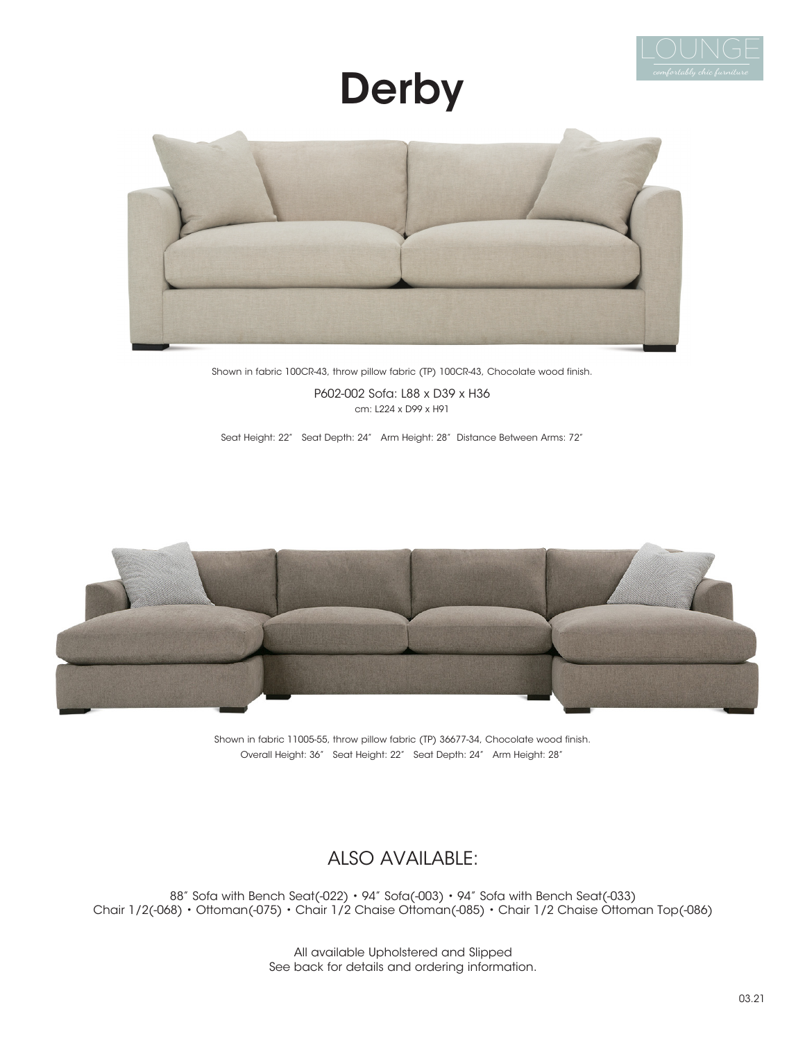

# **Derby**



Shown in fabric 100CR-43, throw pillow fabric (TP) 100CR-43, Chocolate wood finish.

P602-002 Sofa: L88 x D39 x H36 cm: L224 x D99 x H91

Seat Height: 22" Seat Depth: 24" Arm Height: 28" Distance Between Arms: 72"



Shown in fabric 11005-55, throw pillow fabric (TP) 36677-34, Chocolate wood finish. Overall Height: 36" Seat Height: 22" Seat Depth: 24" Arm Height: 28"

### ALSO AVAILABLE:

88" Sofa with Bench Seat(-022) • 94" Sofa(-003) • 94" Sofa with Bench Seat(-033) Chair 1/2(-068) • Ottoman(-075) • Chair 1/2 Chaise Ottoman(-085) • Chair 1/2 Chaise Ottoman Top(-086)

> All available Upholstered and Slipped See back for details and ordering information.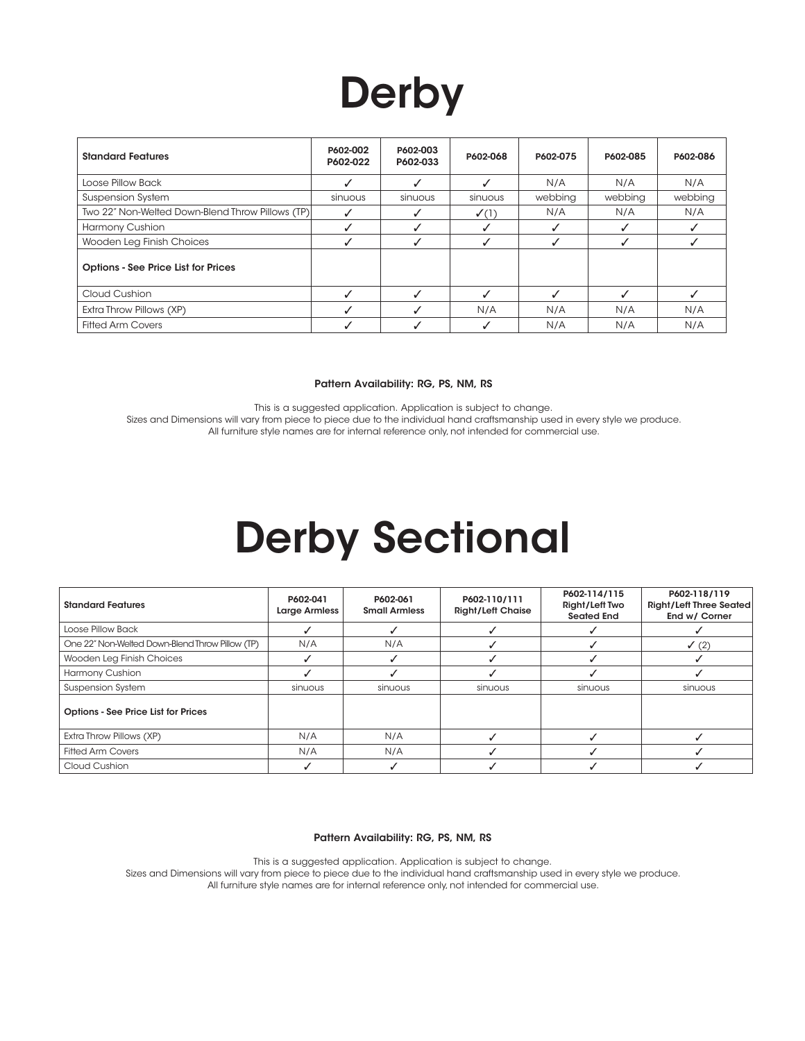# **Derby**

| <b>Standard Features</b>                         | P602-002<br>P602-022 | P602-003<br>P602-033 | P602-068         | P602-075 | P602-085 | P602-086 |
|--------------------------------------------------|----------------------|----------------------|------------------|----------|----------|----------|
| Loose Pillow Back                                |                      |                      |                  | N/A      | N/A      | N/A      |
| <b>Suspension System</b>                         | sinuous              | sinuous              | sinuous          | webbing  | webbing  | webbing  |
| Two 22" Non-Welted Down-Blend Throw Pillows (TP) |                      |                      | $\checkmark$ (1) | N/A      | N/A      | N/A      |
| Harmony Cushion                                  |                      |                      |                  |          |          |          |
| Wooden Leg Finish Choices                        |                      |                      |                  |          |          |          |
| <b>Options - See Price List for Prices</b>       |                      |                      |                  |          |          |          |
| Cloud Cushion                                    |                      |                      |                  |          |          |          |
| Extra Throw Pillows (XP)                         |                      |                      | N/A              | N/A      | N/A      | N/A      |
| <b>Fitted Arm Covers</b>                         |                      |                      |                  | N/A      | N/A      | N/A      |

#### Pattern Availability: RG, PS, NM, RS

This is a suggested application. Application is subject to change. Sizes and Dimensions will vary from piece to piece due to the individual hand craftsmanship used in every style we produce. All furniture style names are for internal reference only, not intended for commercial use.

## Derby Sectional

| <b>Standard Features</b>                        | P602-041<br><b>Large Armless</b> | P602-061<br><b>Small Armless</b> | P602-110/111<br><b>Right/Left Chaise</b> | P602-114/115<br>Right/Left Two<br><b>Seated End</b> | P602-118/119<br><b>Right/Left Three Seated</b><br>End w/ Corner |
|-------------------------------------------------|----------------------------------|----------------------------------|------------------------------------------|-----------------------------------------------------|-----------------------------------------------------------------|
| Loose Pillow Back                               |                                  |                                  |                                          |                                                     |                                                                 |
| One 22" Non-Welted Down-Blend Throw Pillow (TP) | N/A                              | N/A                              |                                          |                                                     | $\checkmark$ (2)                                                |
| Wooden Leg Finish Choices                       |                                  |                                  |                                          |                                                     |                                                                 |
| Harmony Cushion                                 |                                  |                                  |                                          |                                                     |                                                                 |
| <b>Suspension System</b>                        | sinuous                          | sinuous                          | sinuous                                  | sinuous                                             | sinuous                                                         |
| <b>Options - See Price List for Prices</b>      |                                  |                                  |                                          |                                                     |                                                                 |
| Extra Throw Pillows (XP)                        | N/A                              | N/A                              |                                          |                                                     |                                                                 |
| <b>Fitted Arm Covers</b>                        | N/A                              | N/A                              |                                          |                                                     |                                                                 |
| Cloud Cushion                                   |                                  |                                  |                                          |                                                     |                                                                 |

Pattern Availability: RG, PS, NM, RS

This is a suggested application. Application is subject to change. Sizes and Dimensions will vary from piece to piece due to the individual hand craftsmanship used in every style we produce. All furniture style names are for internal reference only, not intended for commercial use.